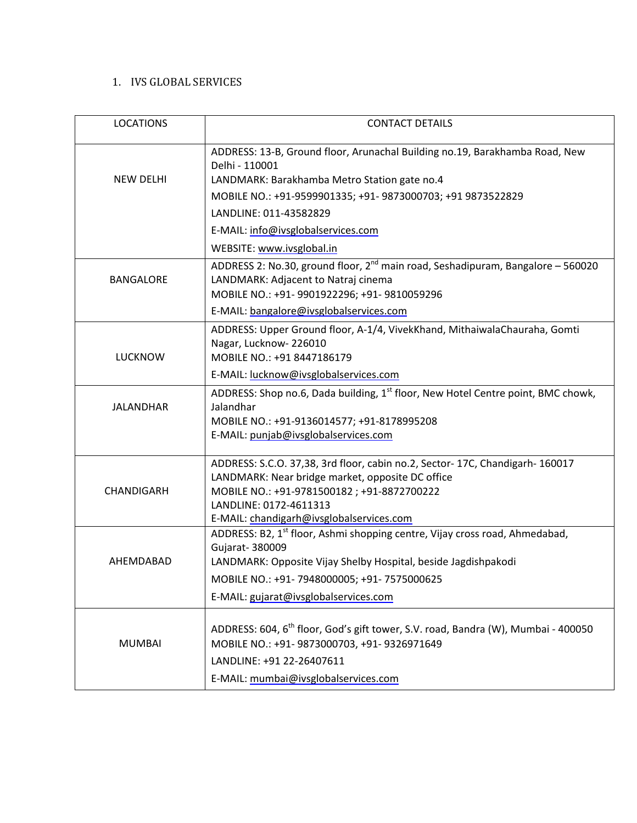#### 1. IVS GLOBAL SERVICES

| <b>LOCATIONS</b> | <b>CONTACT DETAILS</b>                                                                                                                                                                                                                                              |
|------------------|---------------------------------------------------------------------------------------------------------------------------------------------------------------------------------------------------------------------------------------------------------------------|
| <b>NEW DELHI</b> | ADDRESS: 13-B, Ground floor, Arunachal Building no.19, Barakhamba Road, New<br>Delhi - 110001                                                                                                                                                                       |
|                  | LANDMARK: Barakhamba Metro Station gate no.4                                                                                                                                                                                                                        |
|                  | MOBILE NO.: +91-9599901335; +91- 9873000703; +91 9873522829                                                                                                                                                                                                         |
|                  | LANDLINE: 011-43582829                                                                                                                                                                                                                                              |
|                  | E-MAIL: info@ivsglobalservices.com                                                                                                                                                                                                                                  |
|                  | WEBSITE: www.ivsglobal.in                                                                                                                                                                                                                                           |
| <b>BANGALORE</b> | ADDRESS 2: No.30, ground floor, 2 <sup>nd</sup> main road, Seshadipuram, Bangalore - 560020<br>LANDMARK: Adjacent to Natraj cinema<br>MOBILE NO.: +91- 9901922296; +91- 9810059296                                                                                  |
|                  | E-MAIL: bangalore@ivsglobalservices.com                                                                                                                                                                                                                             |
| <b>LUCKNOW</b>   | ADDRESS: Upper Ground floor, A-1/4, VivekKhand, MithaiwalaChauraha, Gomti<br>Nagar, Lucknow-226010<br>MOBILE NO.: +91 8447186179                                                                                                                                    |
|                  | E-MAIL: lucknow@ivsglobalservices.com                                                                                                                                                                                                                               |
| <b>JALANDHAR</b> | ADDRESS: Shop no.6, Dada building, 1 <sup>st</sup> floor, New Hotel Centre point, BMC chowk,<br>Jalandhar<br>MOBILE NO.: +91-9136014577; +91-8178995208<br>E-MAIL: punjab@ivsglobalservices.com                                                                     |
| CHANDIGARH       | ADDRESS: S.C.O. 37,38, 3rd floor, cabin no.2, Sector-17C, Chandigarh-160017<br>LANDMARK: Near bridge market, opposite DC office<br>MOBILE NO.: +91-9781500182; +91-8872700222<br>LANDLINE: 0172-4611313<br>E-MAIL: chandigarh@ivsglobalservices.com                 |
| AHEMDABAD        | ADDRESS: B2, 1 <sup>st</sup> floor, Ashmi shopping centre, Vijay cross road, Ahmedabad,<br>Gujarat- 380009<br>LANDMARK: Opposite Vijay Shelby Hospital, beside Jagdishpakodi<br>MOBILE NO.: +91-7948000005; +91-7575000625<br>E-MAIL: gujarat@ivsglobalservices.com |
| <b>MUMBAI</b>    | ADDRESS: 604, 6 <sup>th</sup> floor, God's gift tower, S.V. road, Bandra (W), Mumbai - 400050<br>MOBILE NO.: +91-9873000703, +91-9326971649<br>LANDLINE: +91 22-26407611<br>E-MAIL: mumbai@ivsglobalservices.com                                                    |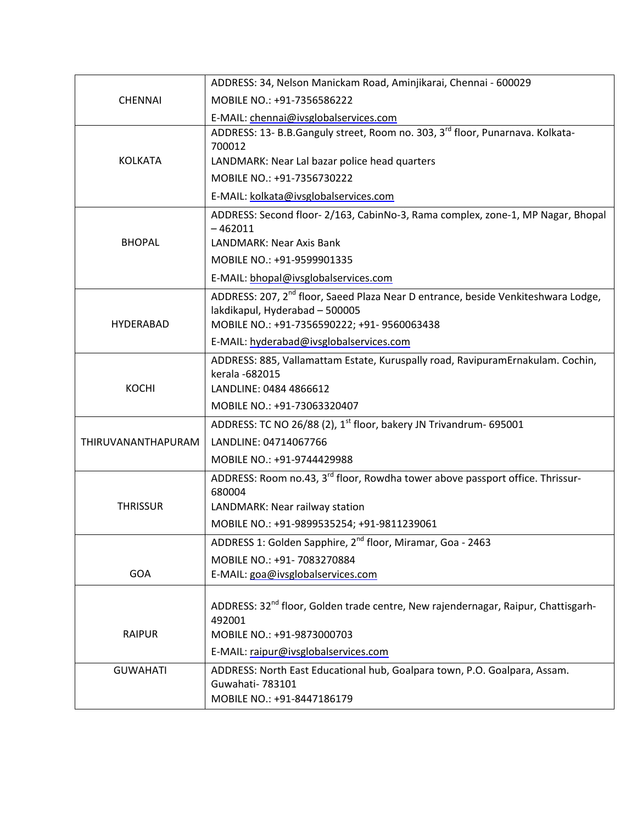|                    | ADDRESS: 34, Nelson Manickam Road, Aminjikarai, Chennai - 600029                                                                                                              |
|--------------------|-------------------------------------------------------------------------------------------------------------------------------------------------------------------------------|
| <b>CHENNAI</b>     | MOBILE NO.: +91-7356586222                                                                                                                                                    |
|                    | E-MAIL: chennai@ivsglobalservices.com                                                                                                                                         |
|                    | ADDRESS: 13- B.B.Ganguly street, Room no. 303, 3 <sup>rd</sup> floor, Punarnava. Kolkata-<br>700012                                                                           |
| <b>KOLKATA</b>     | LANDMARK: Near Lal bazar police head quarters                                                                                                                                 |
|                    | MOBILE NO.: +91-7356730222                                                                                                                                                    |
|                    | E-MAIL: kolkata@ivsglobalservices.com                                                                                                                                         |
|                    | ADDRESS: Second floor- 2/163, CabinNo-3, Rama complex, zone-1, MP Nagar, Bhopal<br>$-462011$                                                                                  |
| <b>BHOPAL</b>      | LANDMARK: Near Axis Bank                                                                                                                                                      |
|                    | MOBILE NO.: +91-9599901335                                                                                                                                                    |
|                    | E-MAIL: bhopal@ivsglobalservices.com                                                                                                                                          |
|                    | ADDRESS: 207, 2 <sup>nd</sup> floor, Saeed Plaza Near D entrance, beside Venkiteshwara Lodge,<br>lakdikapul, Hyderabad - 500005                                               |
| <b>HYDERABAD</b>   | MOBILE NO.: +91-7356590222; +91-9560063438                                                                                                                                    |
|                    | E-MAIL: hyderabad@ivsglobalservices.com                                                                                                                                       |
|                    | ADDRESS: 885, Vallamattam Estate, Kuruspally road, RavipuramErnakulam. Cochin,<br>kerala -682015                                                                              |
| <b>KOCHI</b>       | LANDLINE: 0484 4866612                                                                                                                                                        |
|                    | MOBILE NO.: +91-73063320407                                                                                                                                                   |
|                    | ADDRESS: TC NO 26/88 (2), 1 <sup>st</sup> floor, bakery JN Trivandrum- 695001                                                                                                 |
| THIRUVANANTHAPURAM | LANDLINE: 04714067766                                                                                                                                                         |
|                    | MOBILE NO.: +91-9744429988                                                                                                                                                    |
|                    | ADDRESS: Room no.43, 3 <sup>rd</sup> floor, Rowdha tower above passport office. Thrissur-                                                                                     |
|                    | 680004                                                                                                                                                                        |
| <b>THRISSUR</b>    | LANDMARK: Near railway station                                                                                                                                                |
|                    | MOBILE NO.: +91-9899535254; +91-9811239061                                                                                                                                    |
|                    | ADDRESS 1: Golden Sapphire, 2 <sup>nd</sup> floor, Miramar, Goa - 2463                                                                                                        |
|                    | MOBILE NO.: +91- 7083270884                                                                                                                                                   |
| GOA                | E-MAIL: goa@ivsglobalservices.com                                                                                                                                             |
| <b>RAIPUR</b>      | ADDRESS: 32 <sup>nd</sup> floor, Golden trade centre, New rajendernagar, Raipur, Chattisgarh-<br>492001<br>MOBILE NO.: +91-9873000703<br>E-MAIL: raipur@ivsglobalservices.com |
| <b>GUWAHATI</b>    |                                                                                                                                                                               |
|                    | ADDRESS: North East Educational hub, Goalpara town, P.O. Goalpara, Assam.<br>Guwahati- 783101                                                                                 |
|                    | MOBILE NO.: +91-8447186179                                                                                                                                                    |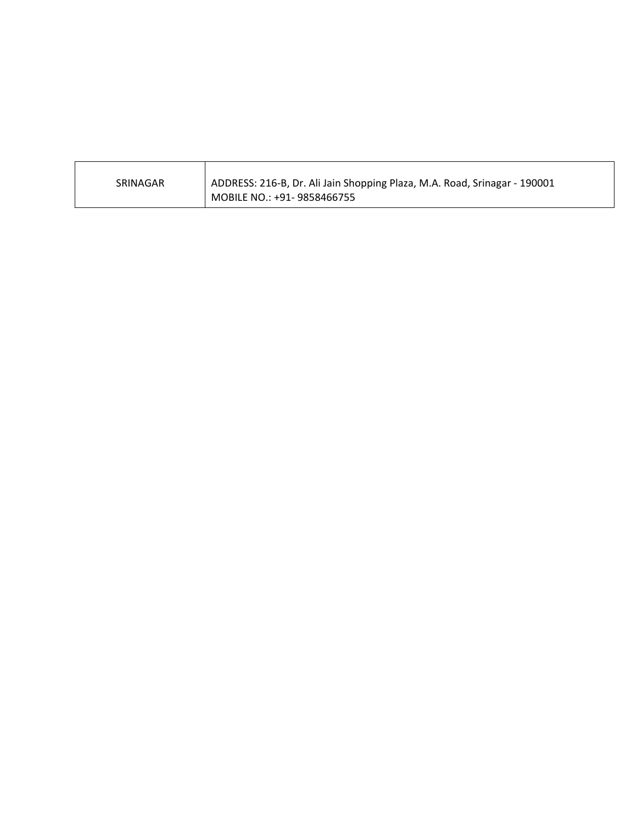| SRINAGAR | ADDRESS: 216-B, Dr. Ali Jain Shopping Plaza, M.A. Road, Srinagar - 190001 |
|----------|---------------------------------------------------------------------------|
|          | MOBILE NO.: +91- 9858466755                                               |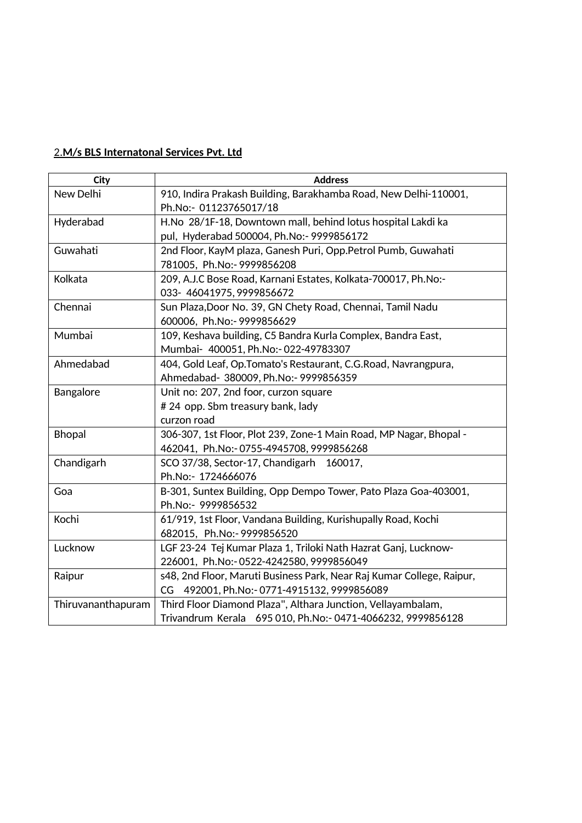### 2.**M/s BLS Internatonal Services Pvt. Ltd**

| <b>City</b>        | <b>Address</b>                                                        |
|--------------------|-----------------------------------------------------------------------|
| New Delhi          | 910, Indira Prakash Building, Barakhamba Road, New Delhi-110001,      |
|                    | Ph.No:- 01123765017/18                                                |
| Hyderabad          | H.No 28/1F-18, Downtown mall, behind lotus hospital Lakdi ka          |
|                    | pul, Hyderabad 500004, Ph.No:- 9999856172                             |
| Guwahati           | 2nd Floor, KayM plaza, Ganesh Puri, Opp.Petrol Pumb, Guwahati         |
|                    | 781005, Ph.No:- 9999856208                                            |
| Kolkata            | 209, A.J.C Bose Road, Karnani Estates, Kolkata-700017, Ph.No:-        |
|                    | 033- 46041975, 9999856672                                             |
| Chennai            | Sun Plaza, Door No. 39, GN Chety Road, Chennai, Tamil Nadu            |
|                    | 600006, Ph.No:- 9999856629                                            |
| Mumbai             | 109, Keshava building, C5 Bandra Kurla Complex, Bandra East,          |
|                    | Mumbai- 400051, Ph.No:- 022-49783307                                  |
| Ahmedabad          | 404, Gold Leaf, Op. Tomato's Restaurant, C.G. Road, Navrangpura,      |
|                    | Ahmedabad- 380009, Ph.No:- 9999856359                                 |
| Bangalore          | Unit no: 207, 2nd foor, curzon square                                 |
|                    | # 24 opp. Sbm treasury bank, lady                                     |
|                    | curzon road                                                           |
| <b>Bhopal</b>      | 306-307, 1st Floor, Plot 239, Zone-1 Main Road, MP Nagar, Bhopal -    |
|                    | 462041, Ph.No:-0755-4945708, 9999856268                               |
| Chandigarh         | SCO 37/38, Sector-17, Chandigarh 160017,                              |
|                    | Ph.No:- 1724666076                                                    |
| Goa                | B-301, Suntex Building, Opp Dempo Tower, Pato Plaza Goa-403001,       |
|                    | Ph.No:- 9999856532                                                    |
| Kochi              | 61/919, 1st Floor, Vandana Building, Kurishupally Road, Kochi         |
|                    | 682015, Ph.No:- 9999856520                                            |
| Lucknow            | LGF 23-24 Tej Kumar Plaza 1, Triloki Nath Hazrat Ganj, Lucknow-       |
|                    | 226001, Ph.No:-0522-4242580, 9999856049                               |
| Raipur             | s48, 2nd Floor, Maruti Business Park, Near Raj Kumar College, Raipur, |
|                    | CG 492001, Ph.No:-0771-4915132, 9999856089                            |
| Thiruvananthapuram | Third Floor Diamond Plaza", Althara Junction, Vellayambalam,          |
|                    | Trivandrum Kerala 695 010, Ph.No:- 0471-4066232, 9999856128           |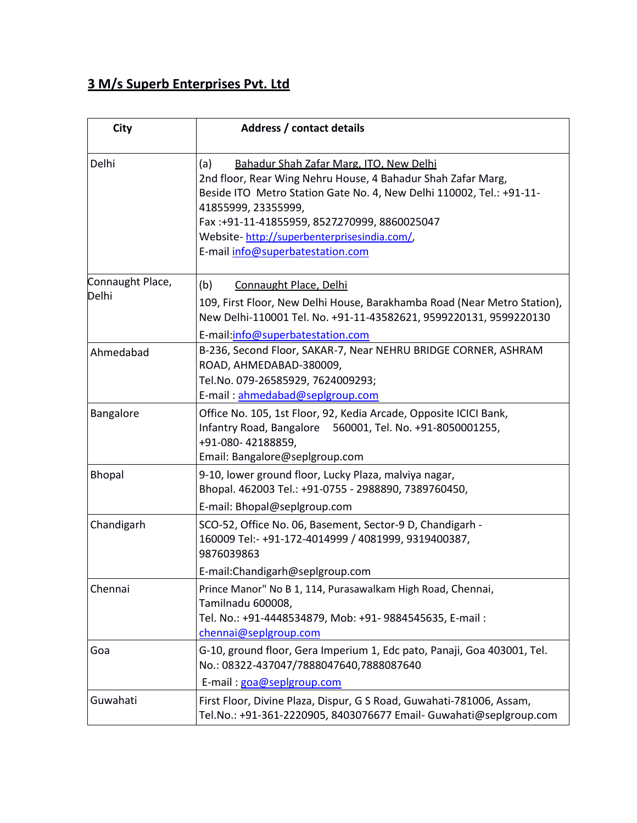# **3 M/s Superb Enterprises Pvt. Ltd**

| <b>City</b>               | <b>Address / contact details</b>                                                                                                                                                                                                                                                                                                               |
|---------------------------|------------------------------------------------------------------------------------------------------------------------------------------------------------------------------------------------------------------------------------------------------------------------------------------------------------------------------------------------|
| Delhi                     | Bahadur Shah Zafar Marg, ITO, New Delhi<br>(a)<br>2nd floor, Rear Wing Nehru House, 4 Bahadur Shah Zafar Marg,<br>Beside ITO Metro Station Gate No. 4, New Delhi 110002, Tel.: +91-11-<br>41855999, 23355999,<br>Fax:+91-11-41855959, 8527270999, 8860025047<br>Website-http://superbenterprisesindia.com/<br>E-mail info@superbatestation.com |
| Connaught Place,<br>Delhi | (b)<br>Connaught Place, Delhi<br>109, First Floor, New Delhi House, Barakhamba Road (Near Metro Station),<br>New Delhi-110001 Tel. No. +91-11-43582621, 9599220131, 9599220130<br>E-mail:info@superbatestation.com                                                                                                                             |
| Ahmedabad                 | B-236, Second Floor, SAKAR-7, Near NEHRU BRIDGE CORNER, ASHRAM<br>ROAD, AHMEDABAD-380009,<br>Tel.No. 079-26585929, 7624009293;<br>E-mail: ahmedabad@seplgroup.com                                                                                                                                                                              |
| Bangalore                 | Office No. 105, 1st Floor, 92, Kedia Arcade, Opposite ICICI Bank,<br>Infantry Road, Bangalore 560001, Tel. No. +91-8050001255,<br>+91-080-42188859,<br>Email: Bangalore@seplgroup.com                                                                                                                                                          |
| <b>Bhopal</b>             | 9-10, lower ground floor, Lucky Plaza, malviya nagar,<br>Bhopal. 462003 Tel.: +91-0755 - 2988890, 7389760450,<br>E-mail: Bhopal@seplgroup.com                                                                                                                                                                                                  |
| Chandigarh                | SCO-52, Office No. 06, Basement, Sector-9 D, Chandigarh -<br>160009 Tel:- +91-172-4014999 / 4081999, 9319400387,<br>9876039863<br>E-mail: Chandigarh@seplgroup.com                                                                                                                                                                             |
| Chennai                   | Prince Manor" No B 1, 114, Purasawalkam High Road, Chennai,<br>Tamilnadu 600008,<br>Tel. No.: +91-4448534879, Mob: +91- 9884545635, E-mail:<br>chennai@seplgroup.com                                                                                                                                                                           |
| Goa                       | G-10, ground floor, Gera Imperium 1, Edc pato, Panaji, Goa 403001, Tel.<br>No.: 08322-437047/7888047640,7888087640<br>E-mail: goa@seplgroup.com                                                                                                                                                                                                |
| Guwahati                  | First Floor, Divine Plaza, Dispur, G S Road, Guwahati-781006, Assam,<br>Tel.No.: +91-361-2220905, 8403076677 Email- Guwahati@seplgroup.com                                                                                                                                                                                                     |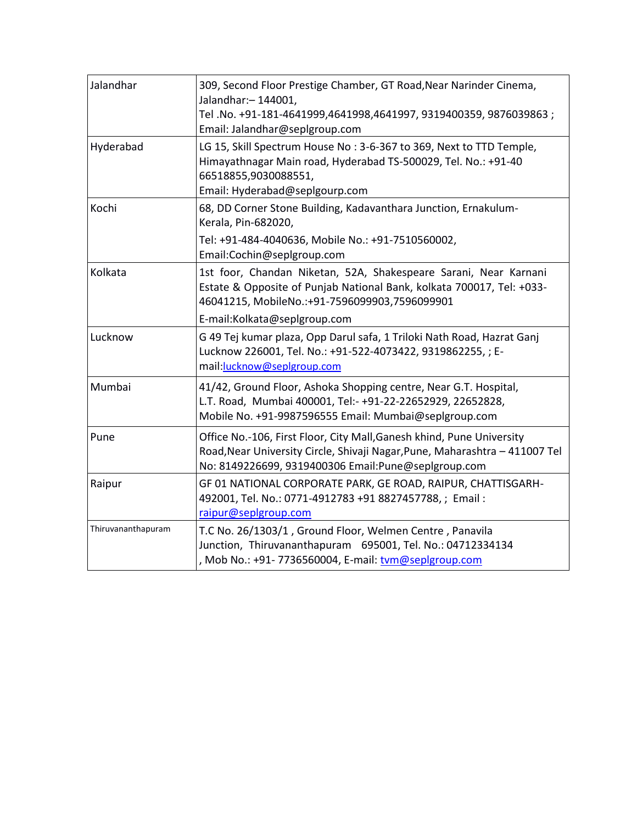| Jalandhar          | 309, Second Floor Prestige Chamber, GT Road, Near Narinder Cinema,<br>Jalandhar: - 144001,<br>Tel.No. +91-181-4641999,4641998,4641997, 9319400359, 9876039863;<br>Email: Jalandhar@seplgroup.com            |
|--------------------|-------------------------------------------------------------------------------------------------------------------------------------------------------------------------------------------------------------|
| Hyderabad          | LG 15, Skill Spectrum House No: 3-6-367 to 369, Next to TTD Temple,<br>Himayathnagar Main road, Hyderabad TS-500029, Tel. No.: +91-40<br>66518855,9030088551,<br>Email: Hyderabad@seplgourp.com             |
| Kochi              | 68, DD Corner Stone Building, Kadavanthara Junction, Ernakulum-<br>Kerala, Pin-682020,                                                                                                                      |
|                    | Tel: +91-484-4040636, Mobile No.: +91-7510560002,<br>Email:Cochin@seplgroup.com                                                                                                                             |
| Kolkata            | 1st foor, Chandan Niketan, 52A, Shakespeare Sarani, Near Karnani<br>Estate & Opposite of Punjab National Bank, kolkata 700017, Tel: +033-<br>46041215, MobileNo.:+91-7596099903,7596099901                  |
|                    | E-mail:Kolkata@seplgroup.com                                                                                                                                                                                |
| Lucknow            | G 49 Tej kumar plaza, Opp Darul safa, 1 Triloki Nath Road, Hazrat Ganj<br>Lucknow 226001, Tel. No.: +91-522-4073422, 9319862255, ; E-<br>mail:lucknow@seplgroup.com                                         |
| Mumbai             | 41/42, Ground Floor, Ashoka Shopping centre, Near G.T. Hospital,<br>L.T. Road, Mumbai 400001, Tel:- +91-22-22652929, 22652828,<br>Mobile No. +91-9987596555 Email: Mumbai@seplgroup.com                     |
| Pune               | Office No.-106, First Floor, City Mall, Ganesh khind, Pune University<br>Road, Near University Circle, Shivaji Nagar, Pune, Maharashtra - 411007 Tel<br>No: 8149226699, 9319400306 Email:Pune@seplgroup.com |
| Raipur             | GF 01 NATIONAL CORPORATE PARK, GE ROAD, RAIPUR, CHATTISGARH-<br>492001, Tel. No.: 0771-4912783 +91 8827457788, ; Email:<br>raipur@seplgroup.com                                                             |
| Thiruvananthapuram | T.C No. 26/1303/1, Ground Floor, Welmen Centre, Panavila<br>Junction, Thiruvananthapuram 695001, Tel. No.: 04712334134<br>, Mob No.: +91- 7736560004, E-mail: tvm@seplgroup.com                             |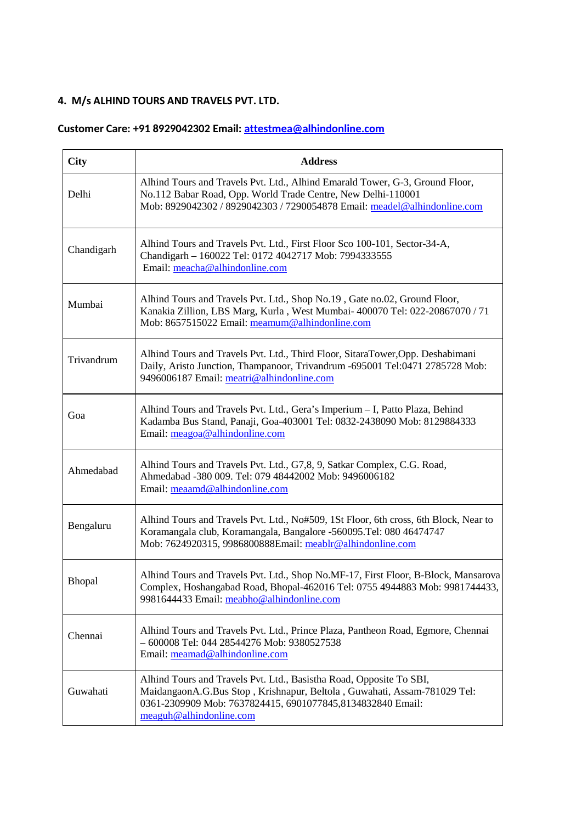#### **4. M/s ALHIND TOURS AND TRAVELS PVT. LTD.**

## **Customer Care: +91 8929042302 Email: attestmea@alhindonline.com**

| <b>City</b> | <b>Address</b>                                                                                                                                                                                                                           |
|-------------|------------------------------------------------------------------------------------------------------------------------------------------------------------------------------------------------------------------------------------------|
| Delhi       | Alhind Tours and Travels Pvt. Ltd., Alhind Emarald Tower, G-3, Ground Floor,<br>No.112 Babar Road, Opp. World Trade Centre, New Delhi-110001<br>Mob: 8929042302 / 8929042303 / 7290054878 Email: meadel@alhindonline.com                 |
| Chandigarh  | Alhind Tours and Travels Pvt. Ltd., First Floor Sco 100-101, Sector-34-A,<br>Chandigarh - 160022 Tel: 0172 4042717 Mob: 7994333555<br>Email: meacha@alhindonline.com                                                                     |
| Mumbai      | Alhind Tours and Travels Pvt. Ltd., Shop No.19, Gate no.02, Ground Floor,<br>Kanakia Zillion, LBS Marg, Kurla, West Mumbai- 400070 Tel: 022-20867070 / 71<br>Mob: 8657515022 Email: meamum@alhindonline.com                              |
| Trivandrum  | Alhind Tours and Travels Pvt. Ltd., Third Floor, SitaraTower, Opp. Deshabimani<br>Daily, Aristo Junction, Thampanoor, Trivandrum -695001 Tel:0471 2785728 Mob:<br>9496006187 Email: meatri@alhindonline.com                              |
| Goa         | Alhind Tours and Travels Pvt. Ltd., Gera's Imperium - I, Patto Plaza, Behind<br>Kadamba Bus Stand, Panaji, Goa-403001 Tel: 0832-2438090 Mob: 8129884333<br>Email: meagoa@alhindonline.com                                                |
| Ahmedabad   | Alhind Tours and Travels Pvt. Ltd., G7,8, 9, Satkar Complex, C.G. Road,<br>Ahmedabad -380 009. Tel: 079 48442002 Mob: 9496006182<br>Email: meaamd@alhindonline.com                                                                       |
| Bengaluru   | Alhind Tours and Travels Pvt. Ltd., No#509, 1St Floor, 6th cross, 6th Block, Near to<br>Koramangala club, Koramangala, Bangalore -560095.Tel: 080 46474747<br>Mob: 7624920315, 9986800888Email: meablr@alhindonline.com                  |
| Bhopal      | Alhind Tours and Travels Pvt. Ltd., Shop No.MF-17, First Floor, B-Block, Mansarova<br>Complex, Hoshangabad Road, Bhopal-462016 Tel: 0755 4944883 Mob: 9981744433,<br>9981644433 Email: meabho@alhindonline.com                           |
| Chennai     | Alhind Tours and Travels Pvt. Ltd., Prince Plaza, Pantheon Road, Egmore, Chennai<br>$-600008$ Tel: 044 28544276 Mob: 9380527538<br>Email: meamad@alhindonline.com                                                                        |
| Guwahati    | Alhind Tours and Travels Pvt. Ltd., Basistha Road, Opposite To SBI,<br>MaidangaonA.G.Bus Stop, Krishnapur, Beltola, Guwahati, Assam-781029 Tel:<br>0361-2309909 Mob: 7637824415, 6901077845,8134832840 Email:<br>meaguh@alhindonline.com |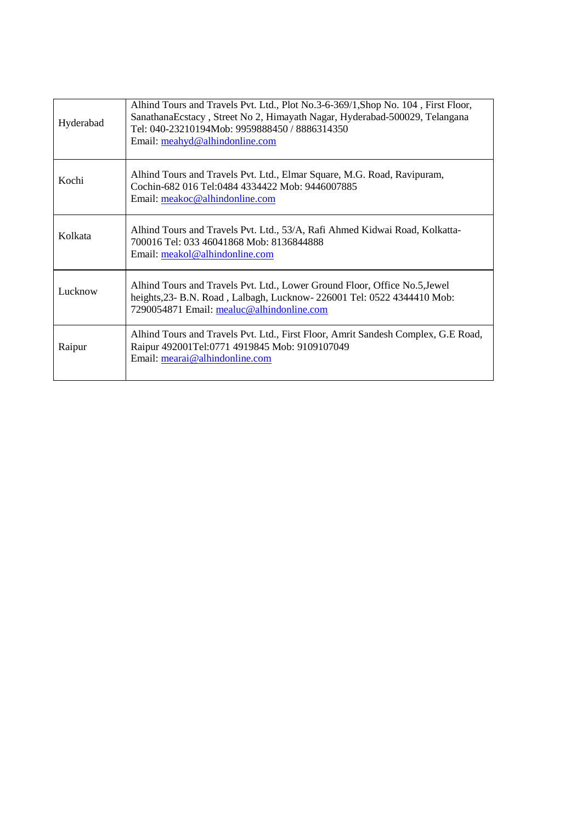| Hyderabad | Alhind Tours and Travels Pvt. Ltd., Plot No.3-6-369/1, Shop No. 104, First Floor,<br>Sanathana Ecstacy, Street No 2, Himayath Nagar, Hyderabad-500029, Telangana<br>Tel: 040-23210194Mob: 9959888450 / 8886314350<br>Email: meahyd@alhindonline.com |
|-----------|-----------------------------------------------------------------------------------------------------------------------------------------------------------------------------------------------------------------------------------------------------|
| Kochi     | Alhind Tours and Travels Pvt. Ltd., Elmar Square, M.G. Road, Ravipuram,<br>Cochin-682 016 Tel:0484 4334422 Mob: 9446007885<br>Email: meakoc@alhindonline.com                                                                                        |
| Kolkata   | Alhind Tours and Travels Pvt. Ltd., 53/A, Rafi Ahmed Kidwai Road, Kolkatta-<br>700016 Tel: 033 46041868 Mob: 8136844888<br>Email: meakol@alhindonline.com                                                                                           |
| Lucknow   | Alhind Tours and Travels Pvt. Ltd., Lower Ground Floor, Office No.5, Jewel<br>heights, 23- B.N. Road, Lalbagh, Lucknow-226001 Tel: 0522 4344410 Mob:<br>7290054871 Email: mealuc@alhindonline.com                                                   |
| Raipur    | Alhind Tours and Travels Pvt. Ltd., First Floor, Amrit Sandesh Complex, G.E Road,<br>Raipur 492001Tel:0771 4919845 Mob: 9109107049<br>Email: mearai@alhindonline.com                                                                                |